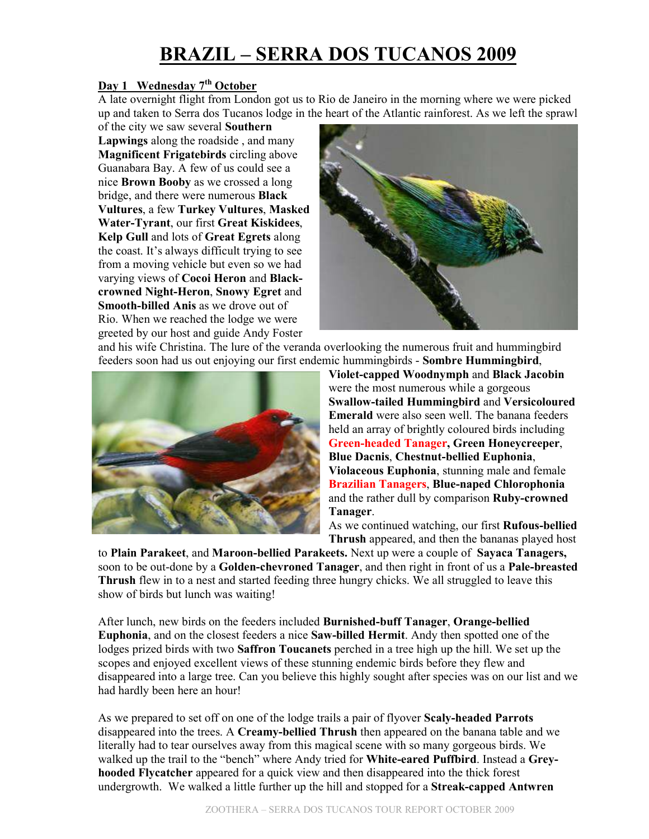# **BRAZIL – SERRA DOS TUCANOS 2009**

### **Day 1 Wednesday 7th October**

A late overnight flight from London got us to Rio de Janeiro in the morning where we were picked up and taken to Serra dos Tucanos lodge in the heart of the Atlantic rainforest. As we left the sprawl

of the city we saw several **Southern Lapwings** along the roadside , and many **Magnificent Frigatebirds** circling above Guanabara Bay. A few of us could see a nice **Brown Booby** as we crossed a long bridge, and there were numerous **Black Vultures**, a few **Turkey Vultures**, **Masked Water-Tyrant**, our first **Great Kiskidees**, **Kelp Gull** and lots of **Great Egrets** along the coast. It's always difficult trying to see from a moving vehicle but even so we had varying views of **Cocoi Heron** and **Blackcrowned Night-Heron**, **Snowy Egret** and **Smooth-billed Anis** as we drove out of Rio. When we reached the lodge we were greeted by our host and guide Andy Foster



and his wife Christina. The lure of the veranda overlooking the numerous fruit and hummingbird feeders soon had us out enjoying our first endemic hummingbirds - **Sombre Hummingbird**,



**Violet-capped Woodnymph** and **Black Jacobin** were the most numerous while a gorgeous **Swallow-tailed Hummingbird** and **Versicoloured Emerald** were also seen well. The banana feeders held an array of brightly coloured birds including **Green-headed Tanager, Green Honeycreeper**, **Blue Dacnis**, **Chestnut-bellied Euphonia**, **Violaceous Euphonia**, stunning male and female **Brazilian Tanagers**, **Blue-naped Chlorophonia** and the rather dull by comparison **Ruby-crowned Tanager**.

As we continued watching, our first **Rufous-bellied Thrush** appeared, and then the bananas played host

to **Plain Parakeet**, and **Maroon-bellied Parakeets.** Next up were a couple of **Sayaca Tanagers,**  soon to be out-done by a **Golden-chevroned Tanager**, and then right in front of us a **Pale-breasted Thrush** flew in to a nest and started feeding three hungry chicks. We all struggled to leave this show of birds but lunch was waiting!

After lunch, new birds on the feeders included **Burnished-buff Tanager**, **Orange-bellied Euphonia**, and on the closest feeders a nice **Saw-billed Hermit**. Andy then spotted one of the lodges prized birds with two **Saffron Toucanets** perched in a tree high up the hill. We set up the scopes and enjoyed excellent views of these stunning endemic birds before they flew and disappeared into a large tree. Can you believe this highly sought after species was on our list and we had hardly been here an hour!

As we prepared to set off on one of the lodge trails a pair of flyover **Scaly-headed Parrots** disappeared into the trees. A **Creamy-bellied Thrush** then appeared on the banana table and we literally had to tear ourselves away from this magical scene with so many gorgeous birds. We walked up the trail to the "bench" where Andy tried for **White-eared Puffbird**. Instead a **Greyhooded Flycatcher** appeared for a quick view and then disappeared into the thick forest undergrowth. We walked a little further up the hill and stopped for a **Streak-capped Antwren**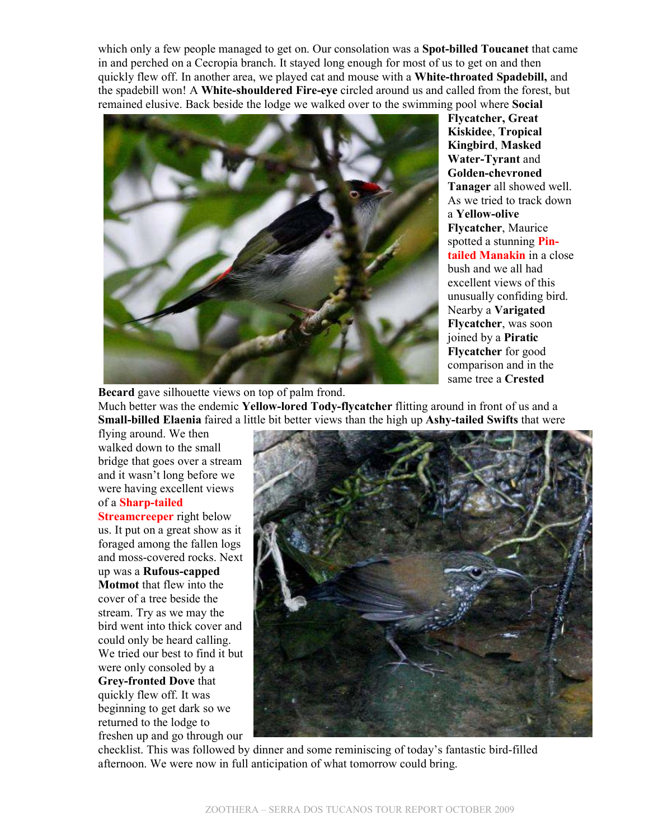which only a few people managed to get on. Our consolation was a **Spot-billed Toucanet** that came in and perched on a Cecropia branch. It stayed long enough for most of us to get on and then quickly flew off. In another area, we played cat and mouse with a **White-throated Spadebill,** and the spadebill won! A **White-shouldered Fire-eye** circled around us and called from the forest, but remained elusive. Back beside the lodge we walked over to the swimming pool where **Social** 



**Flycatcher, Great Kiskidee**, **Tropical Kingbird**, **Masked Water-Tyrant** and **Golden-chevroned Tanager** all showed well. As we tried to track down a **Yellow-olive Flycatcher**, Maurice spotted a stunning **Pintailed Manakin** in a close bush and we all had excellent views of this unusually confiding bird. Nearby a **Varigated Flycatcher**, was soon joined by a **Piratic Flycatcher** for good comparison and in the same tree a **Crested** 

**Becard** gave silhouette views on top of palm frond. Much better was the endemic **Yellow-lored Tody-flycatcher** flitting around in front of us and a **Small-billed Elaenia** faired a little bit better views than the high up **Ashy-tailed Swifts** that were

flying around. We then walked down to the small bridge that goes over a stream and it wasn't long before we were having excellent views of a **Sharp-tailed** 

**Streamcreeper** right below us. It put on a great show as it foraged among the fallen logs and moss-covered rocks. Next up was a **Rufous-capped Motmot** that flew into the cover of a tree beside the stream. Try as we may the bird went into thick cover and could only be heard calling. We tried our best to find it but were only consoled by a **Grey-fronted Dove** that quickly flew off. It was beginning to get dark so we returned to the lodge to freshen up and go through our



checklist. This was followed by dinner and some reminiscing of today's fantastic bird-filled afternoon. We were now in full anticipation of what tomorrow could bring.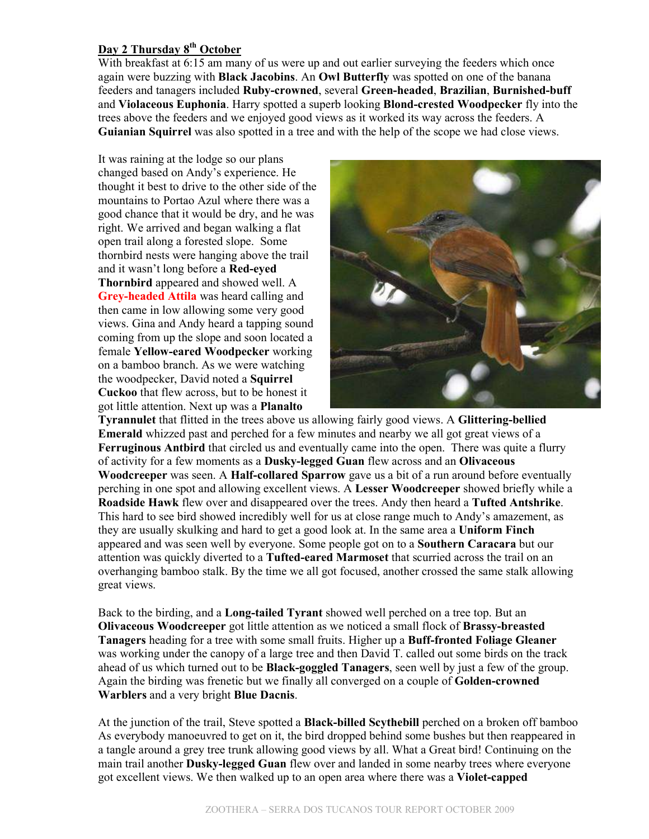### **Day 2 Thursday 8th October**

With breakfast at 6:15 am many of us were up and out earlier surveying the feeders which once again were buzzing with **Black Jacobins**. An **Owl Butterfly** was spotted on one of the banana feeders and tanagers included **Ruby-crowned**, several **Green-headed**, **Brazilian**, **Burnished-buff** and **Violaceous Euphonia**. Harry spotted a superb looking **Blond-crested Woodpecker** fly into the trees above the feeders and we enjoyed good views as it worked its way across the feeders. A **Guianian Squirrel** was also spotted in a tree and with the help of the scope we had close views.

It was raining at the lodge so our plans changed based on Andy's experience. He thought it best to drive to the other side of the mountains to Portao Azul where there was a good chance that it would be dry, and he was right. We arrived and began walking a flat open trail along a forested slope. Some thornbird nests were hanging above the trail and it wasn't long before a **Red-eyed Thornbird** appeared and showed well. A **Grey-headed Attila** was heard calling and then came in low allowing some very good views. Gina and Andy heard a tapping sound coming from up the slope and soon located a female **Yellow-eared Woodpecker** working on a bamboo branch. As we were watching the woodpecker, David noted a **Squirrel Cuckoo** that flew across, but to be honest it got little attention. Next up was a **Planalto** 



**Tyrannulet** that flitted in the trees above us allowing fairly good views. A **Glittering-bellied Emerald** whizzed past and perched for a few minutes and nearby we all got great views of a **Ferruginous Antbird** that circled us and eventually came into the open. There was quite a flurry of activity for a few moments as a **Dusky-legged Guan** flew across and an **Olivaceous Woodcreeper** was seen. A **Half-collared Sparrow** gave us a bit of a run around before eventually perching in one spot and allowing excellent views. A **Lesser Woodcreeper** showed briefly while a **Roadside Hawk** flew over and disappeared over the trees. Andy then heard a **Tufted Antshrike**. This hard to see bird showed incredibly well for us at close range much to Andy's amazement, as they are usually skulking and hard to get a good look at. In the same area a **Uniform Finch** appeared and was seen well by everyone. Some people got on to a **Southern Caracara** but our attention was quickly diverted to a **Tufted-eared Marmoset** that scurried across the trail on an overhanging bamboo stalk. By the time we all got focused, another crossed the same stalk allowing great views.

Back to the birding, and a **Long-tailed Tyrant** showed well perched on a tree top. But an **Olivaceous Woodcreeper** got little attention as we noticed a small flock of **Brassy-breasted Tanagers** heading for a tree with some small fruits. Higher up a **Buff-fronted Foliage Gleaner** was working under the canopy of a large tree and then David T. called out some birds on the track ahead of us which turned out to be **Black-goggled Tanagers**, seen well by just a few of the group. Again the birding was frenetic but we finally all converged on a couple of **Golden-crowned Warblers** and a very bright **Blue Dacnis**.

At the junction of the trail, Steve spotted a **Black-billed Scythebill** perched on a broken off bamboo As everybody manoeuvred to get on it, the bird dropped behind some bushes but then reappeared in a tangle around a grey tree trunk allowing good views by all. What a Great bird! Continuing on the main trail another **Dusky-legged Guan** flew over and landed in some nearby trees where everyone got excellent views. We then walked up to an open area where there was a **Violet-capped**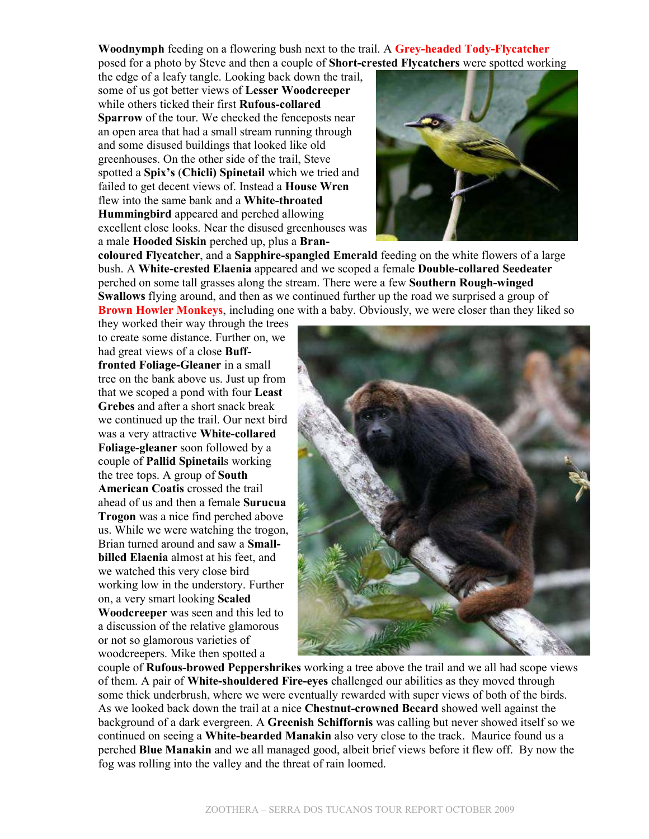**Woodnymph** feeding on a flowering bush next to the trail. A **Grey-headed Tody-Flycatcher** posed for a photo by Steve and then a couple of **Short-crested Flycatchers** were spotted working

the edge of a leafy tangle. Looking back down the trail, some of us got better views of **Lesser Woodcreeper** while others ticked their first **Rufous-collared Sparrow** of the tour. We checked the fenceposts near an open area that had a small stream running through and some disused buildings that looked like old greenhouses. On the other side of the trail, Steve spotted a **Spix's** (**Chicli) Spinetail** which we tried and failed to get decent views of. Instead a **House Wren** flew into the same bank and a **White-throated Hummingbird** appeared and perched allowing excellent close looks. Near the disused greenhouses was a male **Hooded Siskin** perched up, plus a **Bran-**



**coloured Flycatcher**, and a **Sapphire-spangled Emerald** feeding on the white flowers of a large bush. A **White-crested Elaenia** appeared and we scoped a female **Double-collared Seedeater** perched on some tall grasses along the stream. There were a few **Southern Rough-winged Swallows** flying around, and then as we continued further up the road we surprised a group of **Brown Howler Monkeys**, including one with a baby. Obviously, we were closer than they liked so

they worked their way through the trees to create some distance. Further on, we had great views of a close **Bufffronted Foliage-Gleaner** in a small tree on the bank above us. Just up from that we scoped a pond with four **Least Grebes** and after a short snack break we continued up the trail. Our next bird was a very attractive **White-collared Foliage-gleaner** soon followed by a couple of **Pallid Spinetail**s working the tree tops. A group of **South American Coatis** crossed the trail ahead of us and then a female **Surucua Trogon** was a nice find perched above us. While we were watching the trogon, Brian turned around and saw a **Smallbilled Elaenia** almost at his feet, and we watched this very close bird working low in the understory. Further on, a very smart looking **Scaled Woodcreeper** was seen and this led to a discussion of the relative glamorous or not so glamorous varieties of woodcreepers. Mike then spotted a



couple of **Rufous-browed Peppershrikes** working a tree above the trail and we all had scope views of them. A pair of **White-shouldered Fire-eyes** challenged our abilities as they moved through some thick underbrush, where we were eventually rewarded with super views of both of the birds. As we looked back down the trail at a nice **Chestnut-crowned Becard** showed well against the background of a dark evergreen. A **Greenish Schiffornis** was calling but never showed itself so we continued on seeing a **White-bearded Manakin** also very close to the track. Maurice found us a perched **Blue Manakin** and we all managed good, albeit brief views before it flew off. By now the fog was rolling into the valley and the threat of rain loomed.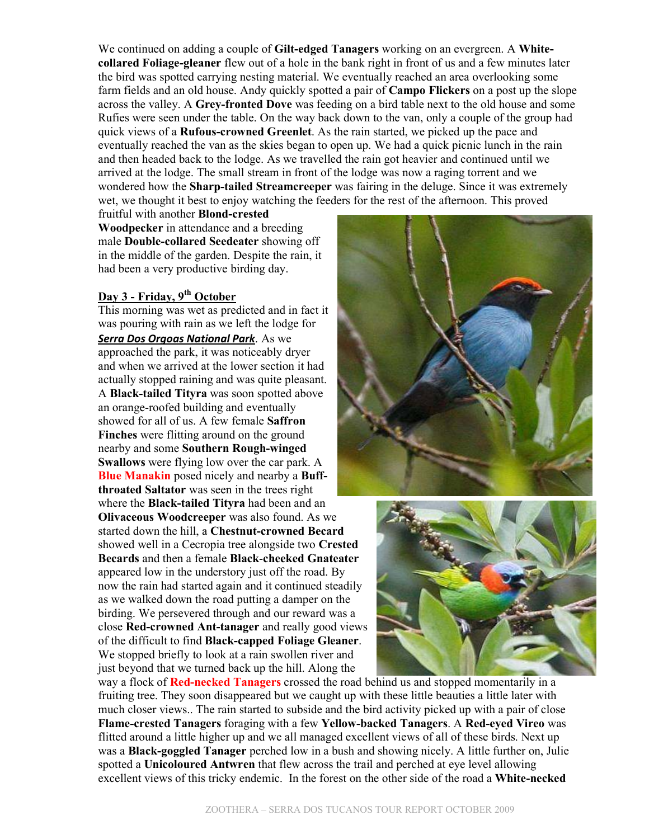We continued on adding a couple of **Gilt-edged Tanagers** working on an evergreen. A **Whitecollared Foliage-gleaner** flew out of a hole in the bank right in front of us and a few minutes later the bird was spotted carrying nesting material. We eventually reached an area overlooking some farm fields and an old house. Andy quickly spotted a pair of **Campo Flickers** on a post up the slope across the valley. A **Grey-fronted Dove** was feeding on a bird table next to the old house and some Rufies were seen under the table. On the way back down to the van, only a couple of the group had quick views of a **Rufous-crowned Greenlet**. As the rain started, we picked up the pace and eventually reached the van as the skies began to open up. We had a quick picnic lunch in the rain and then headed back to the lodge. As we travelled the rain got heavier and continued until we arrived at the lodge. The small stream in front of the lodge was now a raging torrent and we wondered how the **Sharp-tailed Streamcreeper** was fairing in the deluge. Since it was extremely wet, we thought it best to enjoy watching the feeders for the rest of the afternoon. This proved

fruitful with another **Blond-crested Woodpecker** in attendance and a breeding male **Double-collared Seedeater** showing off in the middle of the garden. Despite the rain, it had been a very productive birding day.

### **Day 3 - Friday, 9th October**

This morning was wet as predicted and in fact it was pouring with rain as we left the lodge for *Serra Dos Orgoas National Park*. As we approached the park, it was noticeably dryer and when we arrived at the lower section it had actually stopped raining and was quite pleasant. A **Black-tailed Tityra** was soon spotted above an orange-roofed building and eventually showed for all of us. A few female **Saffron Finches** were flitting around on the ground nearby and some **Southern Rough-winged Swallows** were flying low over the car park. A **Blue Manakin** posed nicely and nearby a **Buffthroated Saltator** was seen in the trees right where the **Black-tailed Tityra** had been and an **Olivaceous Woodcreeper** was also found. As we started down the hill, a **Chestnut-crowned Becard** showed well in a Cecropia tree alongside two **Crested Becards** and then a female **Black**-**cheeked Gnateater** appeared low in the understory just off the road. By now the rain had started again and it continued steadily as we walked down the road putting a damper on the birding. We persevered through and our reward was a close **Red-crowned Ant-tanager** and really good views of the difficult to find **Black-capped Foliage Gleaner**. We stopped briefly to look at a rain swollen river and just beyond that we turned back up the hill. Along the





way a flock of **Red-necked Tanagers** crossed the road behind us and stopped momentarily in a fruiting tree. They soon disappeared but we caught up with these little beauties a little later with much closer views.. The rain started to subside and the bird activity picked up with a pair of close **Flame-crested Tanagers** foraging with a few **Yellow-backed Tanagers**. A **Red-eyed Vireo** was flitted around a little higher up and we all managed excellent views of all of these birds. Next up was a **Black-goggled Tanager** perched low in a bush and showing nicely. A little further on, Julie spotted a **Unicoloured Antwren** that flew across the trail and perched at eye level allowing excellent views of this tricky endemic. In the forest on the other side of the road a **White-necked**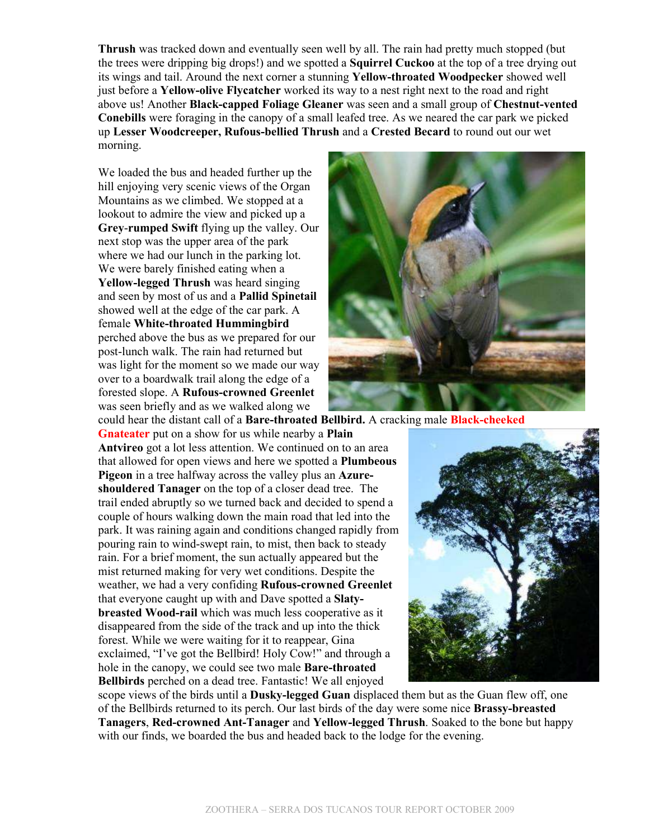**Thrush** was tracked down and eventually seen well by all. The rain had pretty much stopped (but the trees were dripping big drops!) and we spotted a **Squirrel Cuckoo** at the top of a tree drying out its wings and tail. Around the next corner a stunning **Yellow-throated Woodpecker** showed well just before a **Yellow-olive Flycatcher** worked its way to a nest right next to the road and right above us! Another **Black-capped Foliage Gleaner** was seen and a small group of **Chestnut-vented Conebills** were foraging in the canopy of a small leafed tree. As we neared the car park we picked up **Lesser Woodcreeper, Rufous-bellied Thrush** and a **Crested Becard** to round out our wet morning.

We loaded the bus and headed further up the hill enjoying very scenic views of the Organ Mountains as we climbed. We stopped at a lookout to admire the view and picked up a **Grey**-**rumped Swift** flying up the valley. Our next stop was the upper area of the park where we had our lunch in the parking lot. We were barely finished eating when a **Yellow-legged Thrush** was heard singing and seen by most of us and a **Pallid Spinetail** showed well at the edge of the car park. A female **White-throated Hummingbird** perched above the bus as we prepared for our post-lunch walk. The rain had returned but was light for the moment so we made our way over to a boardwalk trail along the edge of a forested slope. A **Rufous-crowned Greenlet** was seen briefly and as we walked along we



could hear the distant call of a **Bare-throated Bellbird.** A cracking male **Black-cheeked**

**Gnateater** put on a show for us while nearby a **Plain Antvireo** got a lot less attention. We continued on to an area that allowed for open views and here we spotted a **Plumbeous Pigeon** in a tree halfway across the valley plus an **Azureshouldered Tanager** on the top of a closer dead tree. The trail ended abruptly so we turned back and decided to spend a couple of hours walking down the main road that led into the park. It was raining again and conditions changed rapidly from pouring rain to wind-swept rain, to mist, then back to steady rain. For a brief moment, the sun actually appeared but the mist returned making for very wet conditions. Despite the weather, we had a very confiding **Rufous-crowned Greenlet** that everyone caught up with and Dave spotted a **Slatybreasted Wood-rail** which was much less cooperative as it disappeared from the side of the track and up into the thick forest. While we were waiting for it to reappear, Gina exclaimed, "I've got the Bellbird! Holy Cow!" and through a hole in the canopy, we could see two male **Bare-throated Bellbirds** perched on a dead tree. Fantastic! We all enjoyed



scope views of the birds until a **Dusky-legged Guan** displaced them but as the Guan flew off, one of the Bellbirds returned to its perch. Our last birds of the day were some nice **Brassy-breasted Tanagers**, **Red-crowned Ant-Tanager** and **Yellow-legged Thrush**. Soaked to the bone but happy with our finds, we boarded the bus and headed back to the lodge for the evening.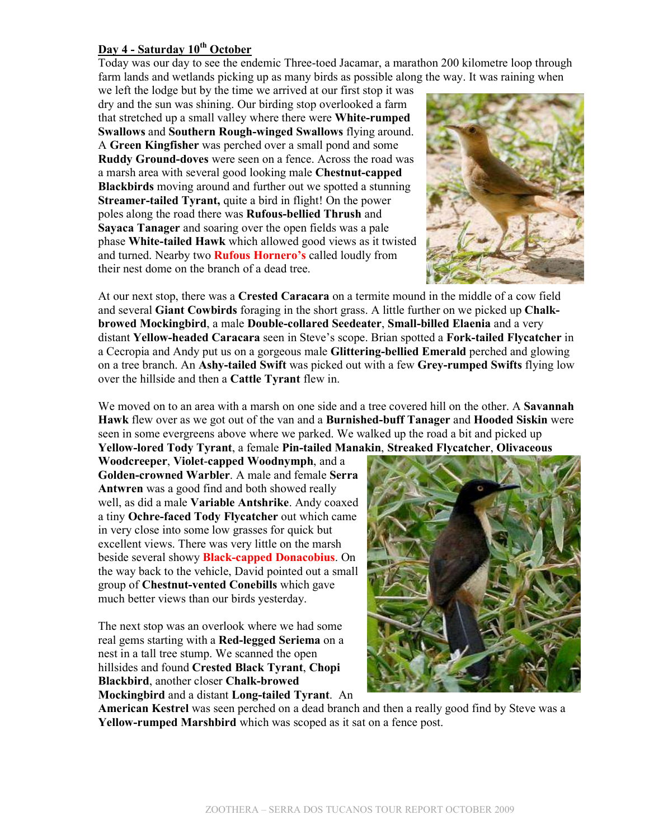### **Day 4 - Saturday 10th October**

Today was our day to see the endemic Three-toed Jacamar, a marathon 200 kilometre loop through farm lands and wetlands picking up as many birds as possible along the way. It was raining when

we left the lodge but by the time we arrived at our first stop it was dry and the sun was shining. Our birding stop overlooked a farm that stretched up a small valley where there were **White-rumped Swallows** and **Southern Rough-winged Swallows** flying around. A **Green Kingfisher** was perched over a small pond and some **Ruddy Ground-doves** were seen on a fence. Across the road was a marsh area with several good looking male **Chestnut-capped Blackbirds** moving around and further out we spotted a stunning **Streamer-tailed Tyrant, quite a bird in flight! On the power** poles along the road there was **Rufous-bellied Thrush** and **Sayaca Tanager** and soaring over the open fields was a pale phase **White-tailed Hawk** which allowed good views as it twisted and turned. Nearby two **Rufous Hornero's** called loudly from their nest dome on the branch of a dead tree.



At our next stop, there was a **Crested Caracara** on a termite mound in the middle of a cow field and several **Giant Cowbirds** foraging in the short grass. A little further on we picked up **Chalkbrowed Mockingbird**, a male **Double-collared Seedeater**, **Small-billed Elaenia** and a very distant **Yellow-headed Caracara** seen in Steve's scope. Brian spotted a **Fork-tailed Flycatcher** in a Cecropia and Andy put us on a gorgeous male **Glittering-bellied Emerald** perched and glowing on a tree branch. An **Ashy-tailed Swift** was picked out with a few **Grey-rumped Swifts** flying low over the hillside and then a **Cattle Tyrant** flew in.

We moved on to an area with a marsh on one side and a tree covered hill on the other. A **Savannah Hawk** flew over as we got out of the van and a **Burnished-buff Tanager** and **Hooded Siskin** were seen in some evergreens above where we parked. We walked up the road a bit and picked up **Yellow-lored Tody Tyrant**, a female **Pin-tailed Manakin**, **Streaked Flycatcher**, **Olivaceous** 

**Woodcreeper**, **Violet**-**capped Woodnymph**, and a **Golden-crowned Warbler**. A male and female **Serra Antwren** was a good find and both showed really well, as did a male **Variable Antshrike**. Andy coaxed a tiny **Ochre-faced Tody Flycatcher** out which came in very close into some low grasses for quick but excellent views. There was very little on the marsh beside several showy **Black-capped Donacobius**. On the way back to the vehicle, David pointed out a small group of **Chestnut-vented Conebills** which gave much better views than our birds yesterday.

The next stop was an overlook where we had some real gems starting with a **Red-legged Seriema** on a nest in a tall tree stump. We scanned the open hillsides and found **Crested Black Tyrant**, **Chopi Blackbird**, another closer **Chalk-browed Mockingbird** and a distant **Long-tailed Tyrant**. An



**American Kestrel** was seen perched on a dead branch and then a really good find by Steve was a **Yellow-rumped Marshbird** which was scoped as it sat on a fence post.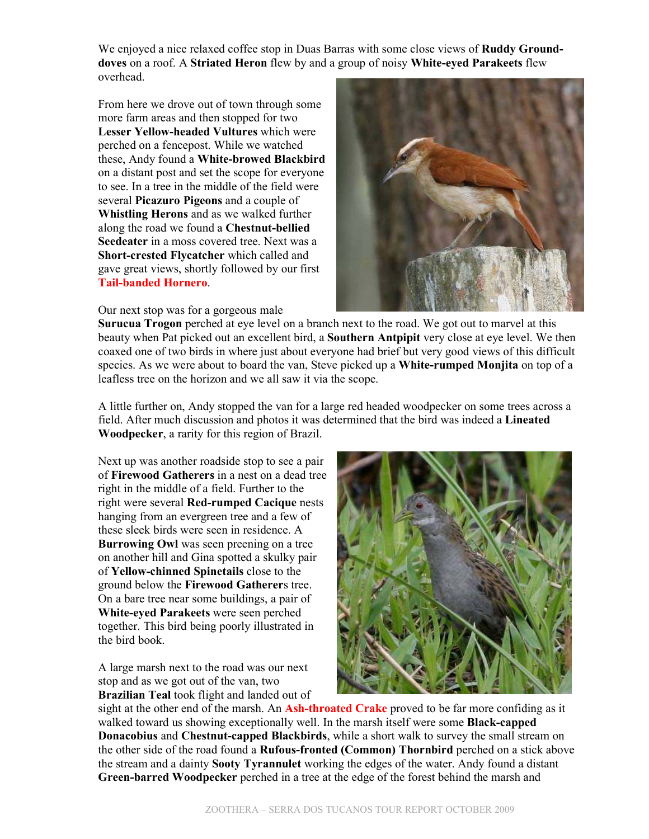We enjoyed a nice relaxed coffee stop in Duas Barras with some close views of **Ruddy Grounddoves** on a roof. A **Striated Heron** flew by and a group of noisy **White-eyed Parakeets** flew overhead.

From here we drove out of town through some more farm areas and then stopped for two **Lesser Yellow-headed Vultures** which were perched on a fencepost. While we watched these, Andy found a **White-browed Blackbird** on a distant post and set the scope for everyone to see. In a tree in the middle of the field were several **Picazuro Pigeons** and a couple of **Whistling Herons** and as we walked further along the road we found a **Chestnut-bellied Seedeater** in a moss covered tree. Next was a **Short-crested Flycatcher** which called and gave great views, shortly followed by our first **Tail-banded Hornero**.

Our next stop was for a gorgeous male



**Surucua Trogon** perched at eye level on a branch next to the road. We got out to marvel at this beauty when Pat picked out an excellent bird, a **Southern Antpipit** very close at eye level. We then coaxed one of two birds in where just about everyone had brief but very good views of this difficult species. As we were about to board the van, Steve picked up a **White-rumped Monjita** on top of a leafless tree on the horizon and we all saw it via the scope.

A little further on, Andy stopped the van for a large red headed woodpecker on some trees across a field. After much discussion and photos it was determined that the bird was indeed a **Lineated Woodpecker**, a rarity for this region of Brazil.

Next up was another roadside stop to see a pair of **Firewood Gatherers** in a nest on a dead tree right in the middle of a field. Further to the right were several **Red-rumped Cacique** nests hanging from an evergreen tree and a few of these sleek birds were seen in residence. A **Burrowing Owl** was seen preening on a tree on another hill and Gina spotted a skulky pair of **Yellow-chinned Spinetails** close to the ground below the **Firewood Gatherer**s tree. On a bare tree near some buildings, a pair of **White-eyed Parakeets** were seen perched together. This bird being poorly illustrated in the bird book.

A large marsh next to the road was our next stop and as we got out of the van, two **Brazilian Teal** took flight and landed out of



sight at the other end of the marsh. An **Ash-throated Crake** proved to be far more confiding as it walked toward us showing exceptionally well. In the marsh itself were some **Black-capped Donacobius** and **Chestnut-capped Blackbirds**, while a short walk to survey the small stream on the other side of the road found a **Rufous-fronted (Common) Thornbird** perched on a stick above the stream and a dainty **Sooty Tyrannulet** working the edges of the water. Andy found a distant **Green-barred Woodpecker** perched in a tree at the edge of the forest behind the marsh and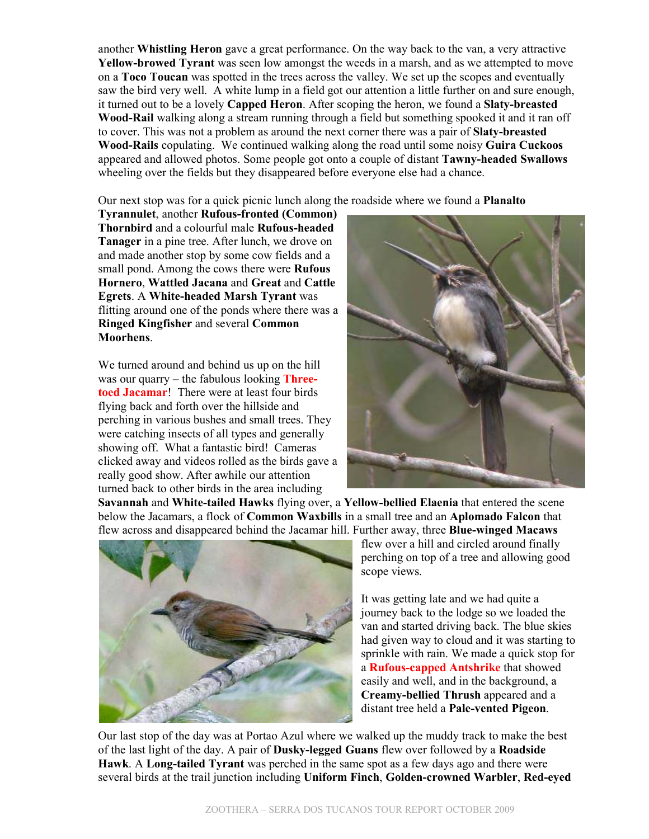another **Whistling Heron** gave a great performance. On the way back to the van, a very attractive **Yellow-browed Tyrant** was seen low amongst the weeds in a marsh, and as we attempted to move on a **Toco Toucan** was spotted in the trees across the valley. We set up the scopes and eventually saw the bird very well. A white lump in a field got our attention a little further on and sure enough, it turned out to be a lovely **Capped Heron**. After scoping the heron, we found a **Slaty-breasted Wood-Rail** walking along a stream running through a field but something spooked it and it ran off to cover. This was not a problem as around the next corner there was a pair of **Slaty-breasted Wood-Rails** copulating. We continued walking along the road until some noisy **Guira Cuckoos** appeared and allowed photos. Some people got onto a couple of distant **Tawny-headed Swallows** wheeling over the fields but they disappeared before everyone else had a chance.

Our next stop was for a quick picnic lunch along the roadside where we found a **Planalto** 

**Tyrannulet**, another **Rufous-fronted (Common) Thornbird** and a colourful male **Rufous-headed Tanager** in a pine tree. After lunch, we drove on and made another stop by some cow fields and a small pond. Among the cows there were **Rufous Hornero**, **Wattled Jacana** and **Great** and **Cattle Egrets**. A **White-headed Marsh Tyrant** was flitting around one of the ponds where there was a **Ringed Kingfisher** and several **Common Moorhens**.

We turned around and behind us up on the hill was our quarry – the fabulous looking **Threetoed Jacamar**! There were at least four birds flying back and forth over the hillside and perching in various bushes and small trees. They were catching insects of all types and generally showing off. What a fantastic bird! Cameras clicked away and videos rolled as the birds gave a really good show. After awhile our attention turned back to other birds in the area including



**Savannah** and **White-tailed Hawks** flying over, a **Yellow-bellied Elaenia** that entered the scene below the Jacamars, a flock of **Common Waxbills** in a small tree and an **Aplomado Falcon** that flew across and disappeared behind the Jacamar hill. Further away, three **Blue-winged Macaws**



flew over a hill and circled around finally perching on top of a tree and allowing good scope views.

It was getting late and we had quite a journey back to the lodge so we loaded the van and started driving back. The blue skies had given way to cloud and it was starting to sprinkle with rain. We made a quick stop for a **Rufous-capped Antshrike** that showed easily and well, and in the background, a **Creamy-bellied Thrush** appeared and a distant tree held a **Pale-vented Pigeon**.

Our last stop of the day was at Portao Azul where we walked up the muddy track to make the best of the last light of the day. A pair of **Dusky-legged Guans** flew over followed by a **Roadside Hawk**. A **Long-tailed Tyrant** was perched in the same spot as a few days ago and there were several birds at the trail junction including **Uniform Finch**, **Golden-crowned Warbler**, **Red-eyed**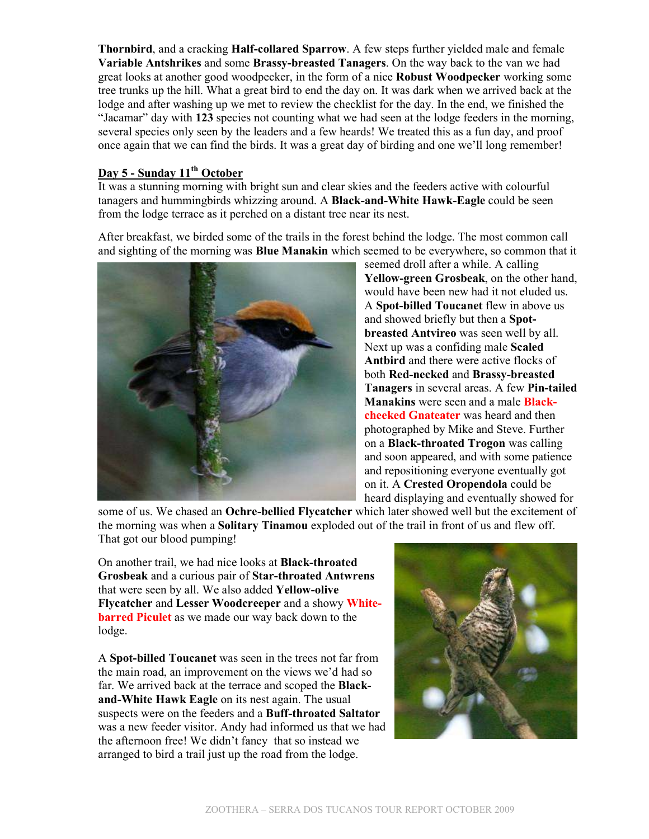**Thornbird**, and a cracking **Half-collared Sparrow**. A few steps further yielded male and female **Variable Antshrikes** and some **Brassy-breasted Tanagers**. On the way back to the van we had great looks at another good woodpecker, in the form of a nice **Robust Woodpecker** working some tree trunks up the hill. What a great bird to end the day on. It was dark when we arrived back at the lodge and after washing up we met to review the checklist for the day. In the end, we finished the "Jacamar" day with **123** species not counting what we had seen at the lodge feeders in the morning, several species only seen by the leaders and a few heards! We treated this as a fun day, and proof once again that we can find the birds. It was a great day of birding and one we'll long remember!

### **Day 5 - Sunday 11th October**

It was a stunning morning with bright sun and clear skies and the feeders active with colourful tanagers and hummingbirds whizzing around. A **Black-and-White Hawk-Eagle** could be seen from the lodge terrace as it perched on a distant tree near its nest.

After breakfast, we birded some of the trails in the forest behind the lodge. The most common call and sighting of the morning was **Blue Manakin** which seemed to be everywhere, so common that it



seemed droll after a while. A calling **Yellow-green Grosbeak**, on the other hand, would have been new had it not eluded us. A **Spot-billed Toucanet** flew in above us and showed briefly but then a **Spotbreasted Antvireo** was seen well by all. Next up was a confiding male **Scaled Antbird** and there were active flocks of both **Red-necked** and **Brassy-breasted Tanagers** in several areas. A few **Pin-tailed Manakins** were seen and a male **Blackcheeked Gnateater** was heard and then photographed by Mike and Steve. Further on a **Black-throated Trogon** was calling and soon appeared, and with some patience and repositioning everyone eventually got on it. A **Crested Oropendola** could be heard displaying and eventually showed for

some of us. We chased an **Ochre-bellied Flycatcher** which later showed well but the excitement of the morning was when a **Solitary Tinamou** exploded out of the trail in front of us and flew off. That got our blood pumping!

On another trail, we had nice looks at **Black-throated Grosbeak** and a curious pair of **Star-throated Antwrens** that were seen by all. We also added **Yellow-olive Flycatcher** and **Lesser Woodcreeper** and a showy **Whitebarred Piculet** as we made our way back down to the lodge.

A **Spot-billed Toucanet** was seen in the trees not far from the main road, an improvement on the views we'd had so far. We arrived back at the terrace and scoped the **Blackand-White Hawk Eagle** on its nest again. The usual suspects were on the feeders and a **Buff-throated Saltator** was a new feeder visitor. Andy had informed us that we had the afternoon free! We didn't fancy that so instead we arranged to bird a trail just up the road from the lodge.

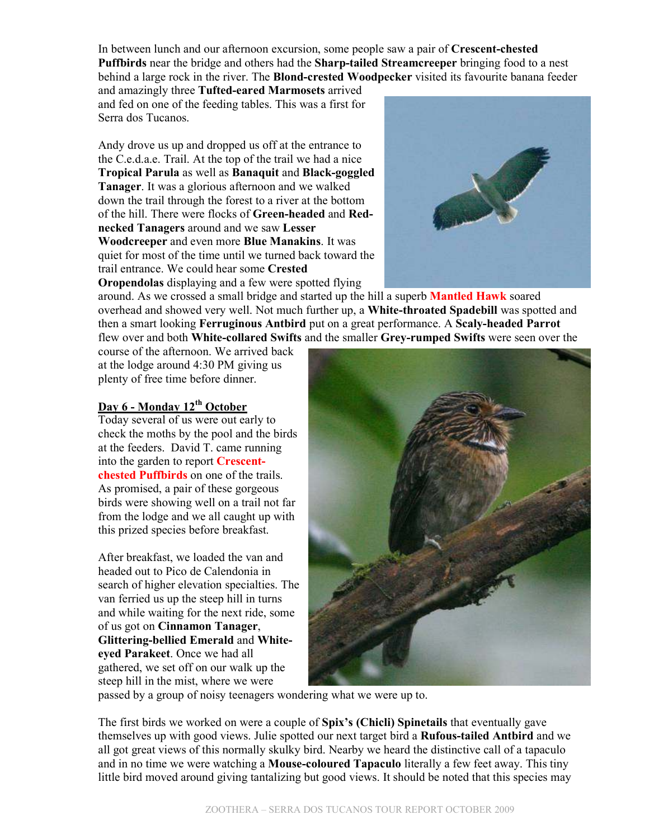In between lunch and our afternoon excursion, some people saw a pair of **Crescent-chested Puffbirds** near the bridge and others had the **Sharp-tailed Streamcreeper** bringing food to a nest behind a large rock in the river. The **Blond-crested Woodpecker** visited its favourite banana feeder

and amazingly three **Tufted-eared Marmosets** arrived and fed on one of the feeding tables. This was a first for Serra dos Tucanos.

Andy drove us up and dropped us off at the entrance to the C.e.d.a.e. Trail. At the top of the trail we had a nice **Tropical Parula** as well as **Banaquit** and **Black-goggled Tanager**. It was a glorious afternoon and we walked down the trail through the forest to a river at the bottom of the hill. There were flocks of **Green-headed** and **Rednecked Tanagers** around and we saw **Lesser Woodcreeper** and even more **Blue Manakins**. It was quiet for most of the time until we turned back toward the trail entrance. We could hear some **Crested** 

**Oropendolas** displaying and a few were spotted flying



around. As we crossed a small bridge and started up the hill a superb **Mantled Hawk** soared overhead and showed very well. Not much further up, a **White-throated Spadebill** was spotted and then a smart looking **Ferruginous Antbird** put on a great performance. A **Scaly-headed Parrot** flew over and both **White-collared Swifts** and the smaller **Grey-rumped Swifts** were seen over the

course of the afternoon. We arrived back at the lodge around 4:30 PM giving us plenty of free time before dinner.

### **Day 6 - Monday 12th October**

Today several of us were out early to check the moths by the pool and the birds at the feeders. David T. came running into the garden to report **Crescentchested Puffbirds** on one of the trails. As promised, a pair of these gorgeous birds were showing well on a trail not far from the lodge and we all caught up with this prized species before breakfast.

After breakfast, we loaded the van and headed out to Pico de Calendonia in search of higher elevation specialties. The van ferried us up the steep hill in turns and while waiting for the next ride, some of us got on **Cinnamon Tanager**, **Glittering-bellied Emerald** and **Whiteeyed Parakeet**. Once we had all gathered, we set off on our walk up the steep hill in the mist, where we were



passed by a group of noisy teenagers wondering what we were up to.

The first birds we worked on were a couple of **Spix's (Chicli) Spinetails** that eventually gave themselves up with good views. Julie spotted our next target bird a **Rufous-tailed Antbird** and we all got great views of this normally skulky bird. Nearby we heard the distinctive call of a tapaculo and in no time we were watching a **Mouse-coloured Tapaculo** literally a few feet away. This tiny little bird moved around giving tantalizing but good views. It should be noted that this species may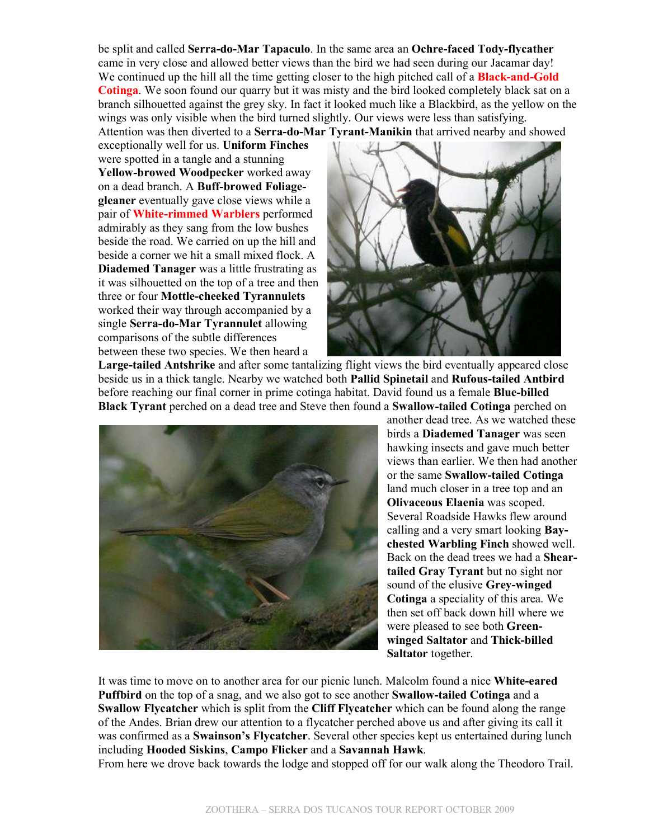be split and called **Serra-do-Mar Tapaculo**. In the same area an **Ochre-faced Tody-flycather** came in very close and allowed better views than the bird we had seen during our Jacamar day! We continued up the hill all the time getting closer to the high pitched call of a **Black-and-Gold Cotinga**. We soon found our quarry but it was misty and the bird looked completely black sat on a branch silhouetted against the grey sky. In fact it looked much like a Blackbird, as the yellow on the wings was only visible when the bird turned slightly. Our views were less than satisfying.

Attention was then diverted to a **Serra-do-Mar Tyrant-Manikin** that arrived nearby and showed

exceptionally well for us. **Uniform Finches** were spotted in a tangle and a stunning **Yellow-browed Woodpecker** worked away on a dead branch. A **Buff-browed Foliagegleaner** eventually gave close views while a pair of **White-rimmed Warblers** performed admirably as they sang from the low bushes beside the road. We carried on up the hill and beside a corner we hit a small mixed flock. A **Diademed Tanager** was a little frustrating as it was silhouetted on the top of a tree and then three or four **Mottle-cheeked Tyrannulets** worked their way through accompanied by a single **Serra-do-Mar Tyrannulet** allowing comparisons of the subtle differences between these two species. We then heard a



**Large-tailed Antshrike** and after some tantalizing flight views the bird eventually appeared close beside us in a thick tangle. Nearby we watched both **Pallid Spinetail** and **Rufous-tailed Antbird** before reaching our final corner in prime cotinga habitat. David found us a female **Blue-billed Black Tyrant** perched on a dead tree and Steve then found a **Swallow-tailed Cotinga** perched on



another dead tree. As we watched these birds a **Diademed Tanager** was seen hawking insects and gave much better views than earlier. We then had another or the same **Swallow-tailed Cotinga** land much closer in a tree top and an **Olivaceous Elaenia** was scoped. Several Roadside Hawks flew around calling and a very smart looking **Baychested Warbling Finch** showed well. Back on the dead trees we had a **Sheartailed Gray Tyrant** but no sight nor sound of the elusive **Grey-winged Cotinga** a speciality of this area. We then set off back down hill where we were pleased to see both **Greenwinged Saltator** and **Thick-billed Saltator** together.

It was time to move on to another area for our picnic lunch. Malcolm found a nice **White-eared Puffbird** on the top of a snag, and we also got to see another **Swallow-tailed Cotinga** and a **Swallow Flycatcher** which is split from the **Cliff Flycatcher** which can be found along the range of the Andes. Brian drew our attention to a flycatcher perched above us and after giving its call it was confirmed as a **Swainson's Flycatcher**. Several other species kept us entertained during lunch including **Hooded Siskins**, **Campo Flicker** and a **Savannah Hawk**.

From here we drove back towards the lodge and stopped off for our walk along the Theodoro Trail.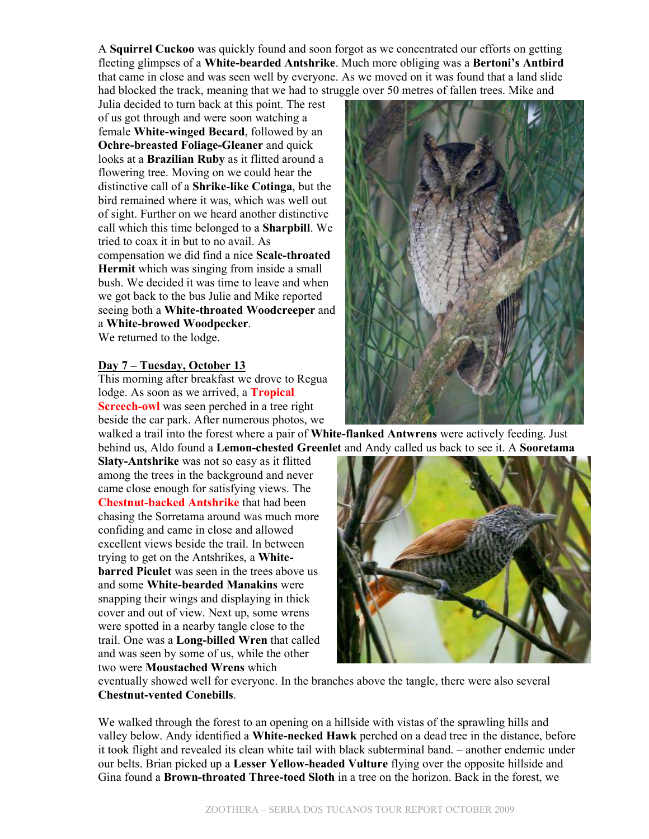A **Squirrel Cuckoo** was quickly found and soon forgot as we concentrated our efforts on getting fleeting glimpses of a **White-bearded Antshrike**. Much more obliging was a **Bertoni's Antbird** that came in close and was seen well by everyone. As we moved on it was found that a land slide had blocked the track, meaning that we had to struggle over 50 metres of fallen trees. Mike and

Julia decided to turn back at this point. The rest of us got through and were soon watching a female **White-winged Becard**, followed by an **Ochre-breasted Foliage-Gleaner** and quick looks at a **Brazilian Ruby** as it flitted around a flowering tree. Moving on we could hear the distinctive call of a **Shrike-like Cotinga**, but the bird remained where it was, which was well out of sight. Further on we heard another distinctive call which this time belonged to a **Sharpbill**. We tried to coax it in but to no avail. As compensation we did find a nice **Scale-throated Hermit** which was singing from inside a small bush. We decided it was time to leave and when we got back to the bus Julie and Mike reported seeing both a **White-throated Woodcreeper** and a **White-browed Woodpecker**. We returned to the lodge.

#### **Day 7 – Tuesday, October 13**

This morning after breakfast we drove to Regua lodge. As soon as we arrived, a **Tropical Screech-owl** was seen perched in a tree right beside the car park. After numerous photos, we

walked a trail into the forest where a pair of **White-flanked Antwrens** were actively feeding. Just behind us, Aldo found a **Lemon-chested Greenlet** and Andy called us back to see it. A **Sooretama** 

**Slaty-Antshrike** was not so easy as it flitted among the trees in the background and never came close enough for satisfying views. The **Chestnut-backed Antshrike** that had been chasing the Sorretama around was much more confiding and came in close and allowed excellent views beside the trail. In between trying to get on the Antshrikes, a **Whitebarred Piculet** was seen in the trees above us and some **White-bearded Manakins** were snapping their wings and displaying in thick cover and out of view. Next up, some wrens were spotted in a nearby tangle close to the trail. One was a **Long-billed Wren** that called and was seen by some of us, while the other two were **Moustached Wrens** which



eventually showed well for everyone. In the branches above the tangle, there were also several **Chestnut-vented Conebills**.

We walked through the forest to an opening on a hillside with vistas of the sprawling hills and valley below. Andy identified a **White-necked Hawk** perched on a dead tree in the distance, before it took flight and revealed its clean white tail with black subterminal band. – another endemic under our belts. Brian picked up a **Lesser Yellow-headed Vulture** flying over the opposite hillside and Gina found a **Brown-throated Three-toed Sloth** in a tree on the horizon. Back in the forest, we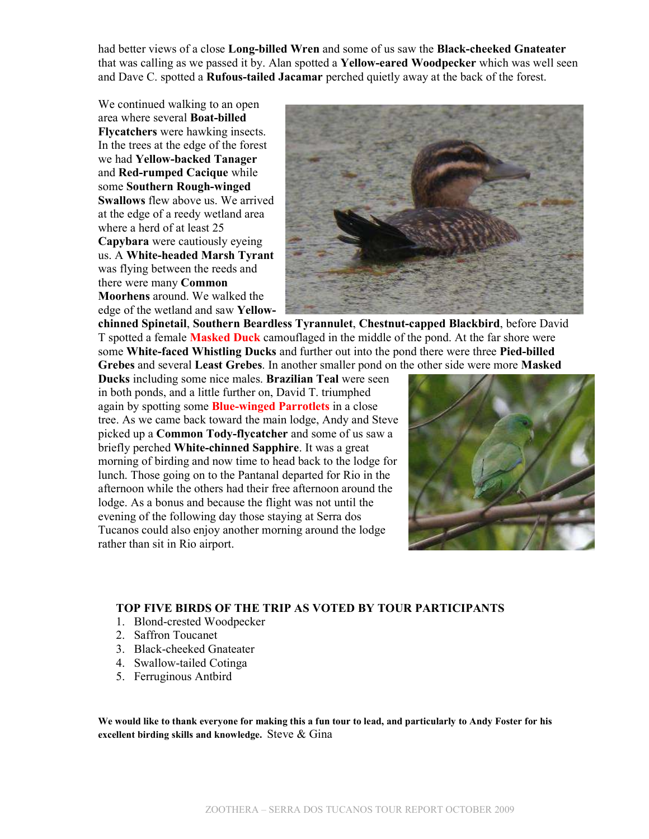had better views of a close **Long-billed Wren** and some of us saw the **Black-cheeked Gnateater** that was calling as we passed it by. Alan spotted a **Yellow-eared Woodpecker** which was well seen and Dave C. spotted a **Rufous-tailed Jacamar** perched quietly away at the back of the forest.

We continued walking to an open area where several **Boat-billed Flycatchers** were hawking insects. In the trees at the edge of the forest we had **Yellow-backed Tanager** and **Red-rumped Cacique** while some **Southern Rough-winged Swallows** flew above us. We arrived at the edge of a reedy wetland area where a herd of at least 25 **Capybara** were cautiously eyeing us. A **White-headed Marsh Tyrant** was flying between the reeds and there were many **Common Moorhens** around. We walked the edge of the wetland and saw **Yellow-**



**chinned Spinetail**, **Southern Beardless Tyrannulet**, **Chestnut-capped Blackbird**, before David T spotted a female **Masked Duck** camouflaged in the middle of the pond. At the far shore were some **White-faced Whistling Ducks** and further out into the pond there were three **Pied-billed Grebes** and several **Least Grebes**. In another smaller pond on the other side were more **Masked** 

**Ducks** including some nice males. **Brazilian Teal** were seen in both ponds, and a little further on, David T. triumphed again by spotting some **Blue-winged Parrotlets** in a close tree. As we came back toward the main lodge, Andy and Steve picked up a **Common Tody-flycatcher** and some of us saw a briefly perched **White-chinned Sapphire**. It was a great morning of birding and now time to head back to the lodge for lunch. Those going on to the Pantanal departed for Rio in the afternoon while the others had their free afternoon around the lodge. As a bonus and because the flight was not until the evening of the following day those staying at Serra dos Tucanos could also enjoy another morning around the lodge rather than sit in Rio airport.



### **TOP FIVE BIRDS OF THE TRIP AS VOTED BY TOUR PARTICIPANTS**

- 1. Blond-crested Woodpecker
- 2. Saffron Toucanet
- 3. Black-cheeked Gnateater
- 4. Swallow-tailed Cotinga
- 5. Ferruginous Antbird

**We would like to thank everyone for making this a fun tour to lead, and particularly to Andy Foster for his excellent birding skills and knowledge.** Steve & Gina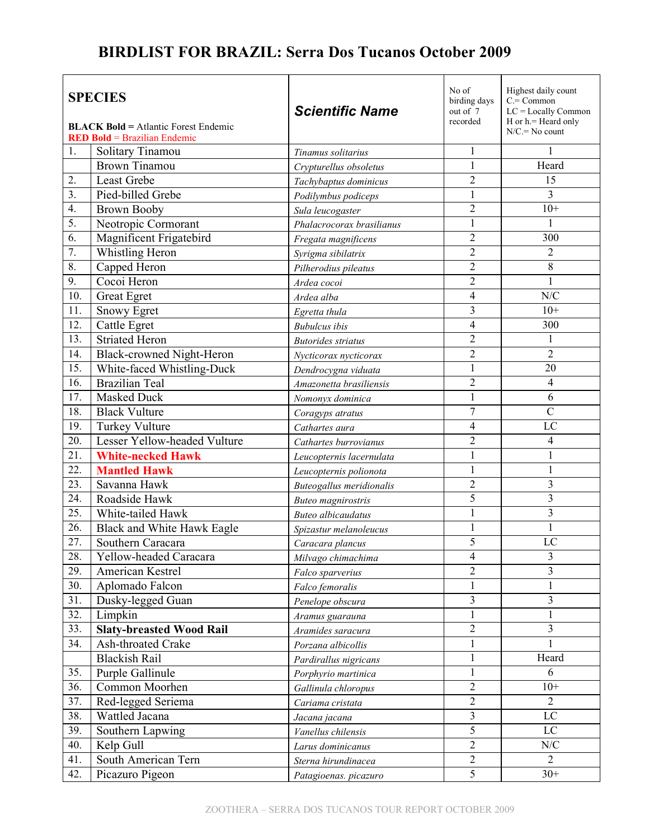## **BIRDLIST FOR BRAZIL: Serra Dos Tucanos October 2009**

| <b>SPECIES</b> |                                                                                    | <b>Scientific Name</b>    | No of<br>birding days<br>out of 7 | Highest daily count<br>$C = Common$<br>LC = Locally Common |
|----------------|------------------------------------------------------------------------------------|---------------------------|-----------------------------------|------------------------------------------------------------|
|                | <b>BLACK Bold = Atlantic Forest Endemic</b><br><b>RED Bold = Brazilian Endemic</b> |                           | recorded                          | $H$ or $h$ = Heard only<br>$N/C = No$ count                |
| 1.             | Solitary Tinamou                                                                   | Tinamus solitarius        | 1                                 | 1                                                          |
|                | <b>Brown Tinamou</b>                                                               | Crypturellus obsoletus    | $\mathbf{1}$                      | Heard                                                      |
| 2.             | <b>Least Grebe</b>                                                                 | Tachybaptus dominicus     | $\overline{2}$                    | 15                                                         |
| 3.             | Pied-billed Grebe                                                                  | Podilymbus podiceps       | $\mathbf{1}$                      | 3                                                          |
| 4.             | <b>Brown Booby</b>                                                                 | Sula leucogaster          | $\overline{2}$                    | $10+$                                                      |
| 5.             | Neotropic Cormorant                                                                | Phalacrocorax brasilianus | 1                                 |                                                            |
| 6.             | Magnificent Frigatebird                                                            | Fregata magnificens       | $\overline{c}$                    | 300                                                        |
| 7.             | Whistling Heron                                                                    | Syrigma sibilatrix        | $\overline{2}$                    | $\overline{2}$                                             |
| 8.             | Capped Heron                                                                       | Pilherodius pileatus      | $\overline{2}$                    | 8                                                          |
| 9.             | Cocoi Heron                                                                        | Ardea cocoi               | $\overline{2}$                    | $\mathbf{1}$                                               |
| 10.            | <b>Great Egret</b>                                                                 | Ardea alba                | $\overline{4}$                    | N/C                                                        |
| 11.            | <b>Snowy Egret</b>                                                                 | Egretta thula             | 3                                 | $10+$                                                      |
| 12.            | Cattle Egret                                                                       | <b>Bubulcus</b> ibis      | 4                                 | 300                                                        |
| 13.            | <b>Striated Heron</b>                                                              | <b>Butorides</b> striatus | $\overline{2}$                    | 1                                                          |
| 14.            | Black-crowned Night-Heron                                                          | Nycticorax nycticorax     | $\overline{c}$                    | $\overline{2}$                                             |
| 15.            | White-faced Whistling-Duck                                                         | Dendrocygna viduata       | $\mathbf{1}$                      | 20                                                         |
| 16.            | <b>Brazilian Teal</b>                                                              | Amazonetta brasiliensis   | $\overline{2}$                    | $\overline{4}$                                             |
| 17.            | <b>Masked Duck</b>                                                                 | Nomonyx dominica          | $\mathbf{1}$                      | 6                                                          |
| 18.            | <b>Black Vulture</b>                                                               | Coragyps atratus          | $\overline{7}$                    | $\mathcal{C}$                                              |
| 19.            | <b>Turkey Vulture</b>                                                              | Cathartes aura            | 4                                 | LC                                                         |
| 20.            | Lesser Yellow-headed Vulture                                                       | Cathartes burrovianus     | $\overline{c}$                    | $\overline{4}$                                             |
| 21.            | <b>White-necked Hawk</b>                                                           | Leucopternis lacernulata  | $\mathbf{1}$                      | 1                                                          |
| 22.            | <b>Mantled Hawk</b>                                                                | Leucopternis polionota    | $\mathbf{1}$                      | $\,1\,$                                                    |
| 23.            | Savanna Hawk                                                                       | Buteogallus meridionalis  | $\overline{2}$                    | 3                                                          |
| 24.            | Roadside Hawk                                                                      | <b>Buteo</b> magnirostris | 5                                 | 3                                                          |
| 25.            | White-tailed Hawk                                                                  | <b>Buteo</b> albicaudatus | $\mathbf{1}$                      | 3                                                          |
| 26.            | Black and White Hawk Eagle                                                         | Spizastur melanoleucus    | $\mathbf{1}$                      | $\mathbf{1}$                                               |
| 27.            | Southern Caracara                                                                  | Caracara plancus          | 5                                 | LC                                                         |
| 28.            | Yellow-headed Caracara                                                             | Milvago chimachima        | 4                                 | 3                                                          |
| 29.            | American Kestrel                                                                   | Falco sparverius          | $\overline{2}$                    | 3                                                          |
| 30.            | Aplomado Falcon                                                                    | Falco femoralis           | 1                                 | 1                                                          |
| 31.            | Dusky-legged Guan                                                                  | Penelope obscura          | 3                                 | 3                                                          |
| 32.            | Limpkin                                                                            | Aramus guarauna           | 1                                 | 1                                                          |
| 33.            | <b>Slaty-breasted Wood Rail</b>                                                    | Aramides saracura         | $\overline{2}$                    | $\overline{3}$                                             |
| 34.            | Ash-throated Crake                                                                 | Porzana albicollis        | $\mathbf{1}$                      | 1                                                          |
|                | <b>Blackish Rail</b>                                                               | Pardirallus nigricans     | 1                                 | Heard                                                      |
| 35.            | Purple Gallinule                                                                   | Porphyrio martinica       | 1                                 | 6                                                          |
| 36.            | Common Moorhen                                                                     | Gallinula chloropus       | 2                                 | $10+$                                                      |
| 37.            | Red-legged Seriema                                                                 | Cariama cristata          | $\overline{2}$                    | $\overline{2}$                                             |
| 38.            | Wattled Jacana                                                                     | Jacana jacana             | 3                                 | $_{\rm LC}$                                                |
| 39.            | Southern Lapwing                                                                   | Vanellus chilensis        | 5                                 | $\rm LC$                                                   |
| 40.            | Kelp Gull                                                                          | Larus dominicanus         | $\overline{2}$                    | $\ensuremath{\text{N}}\xspace/\ensuremath{\text{C}}$       |
| 41.            | South American Tern                                                                | Sterna hirundinacea       | $\overline{2}$                    | $\overline{2}$                                             |
| 42.            | Picazuro Pigeon                                                                    | Patagioenas. picazuro     | $\overline{5}$                    | $30+$                                                      |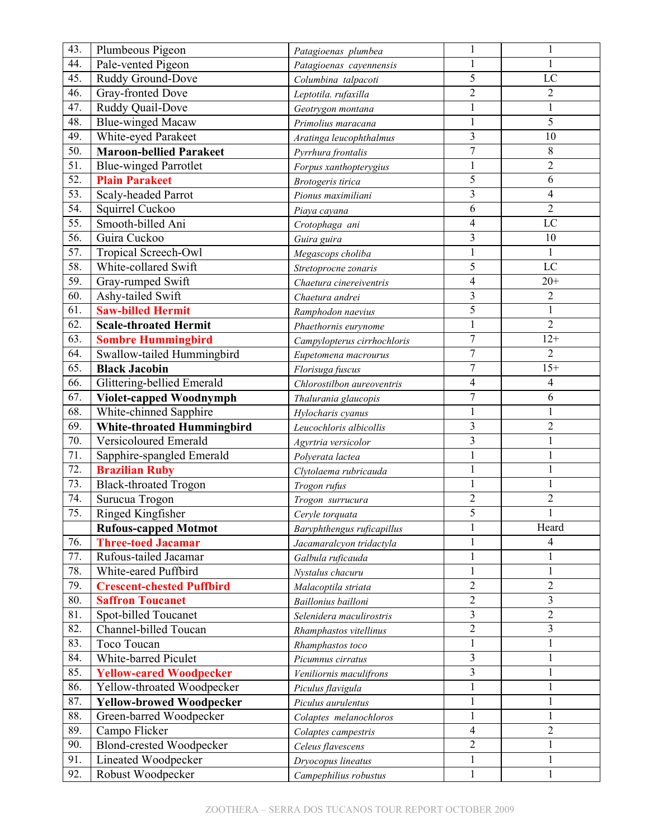| 43.               | Plumbeous Pigeon                  | Patagioenas plumbea         |                          | 1              |
|-------------------|-----------------------------------|-----------------------------|--------------------------|----------------|
| 44.               | Pale-vented Pigeon                | Patagioenas cayennensis     | 1                        | 1              |
| 45.               | Ruddy Ground-Dove                 | Columbina talpacoti         | 5                        | LC             |
| 46.               | Gray-fronted Dove                 | Leptotila. rufaxilla        | $\overline{2}$           | $\overline{c}$ |
| 47.               | Ruddy Quail-Dove                  | Geotrygon montana           | $\mathbf{1}$             | $\mathbf{1}$   |
| 48.               | <b>Blue-winged Macaw</b>          | Primolius maracana          | $\,1$                    | 5              |
| 49.               | White-eyed Parakeet               | Aratinga leucophthalmus     | 3                        | 10             |
| 50.               | <b>Maroon-bellied Parakeet</b>    | Pyrrhura frontalis          | $\overline{7}$           | 8              |
| 51.               | <b>Blue-winged Parrotlet</b>      | Forpus xanthopterygius      | 1                        | 2              |
| $\overline{52}$ . | <b>Plain Parakeet</b>             | Brotogeris tirica           | 5                        | 6              |
| 53.               | Scaly-headed Parrot               | Pionus maximiliani          | $\overline{3}$           | 4              |
| 54.               | Squirrel Cuckoo                   | Piaya cayana                | 6                        | $\overline{2}$ |
| 55.               | Smooth-billed Ani                 | Crotophaga ani              | $\overline{4}$           | LC             |
| 56.               | Guira Cuckoo                      | Guira guira                 | 3                        | 10             |
| 57.               | Tropical Screech-Owl              | Megascops choliba           | $\mathbf{1}$             | 1              |
| 58.               | White-collared Swift              | Stretoprocne zonaris        | 5                        | LC             |
| 59.               | Gray-rumped Swift                 | Chaetura cinereiventris     | $\overline{4}$           | $20+$          |
| 60.               | Ashy-tailed Swift                 | Chaetura andrei             | 3                        | $\overline{2}$ |
| 61.               | <b>Saw-billed Hermit</b>          | Ramphodon naevius           | $\overline{5}$           | $\mathbf{1}$   |
| 62.               | <b>Scale-throated Hermit</b>      | Phaethornis eurynome        | $\,1$                    | $\overline{2}$ |
| 63.               | <b>Sombre Hummingbird</b>         | Campylopterus cirrhochloris | $\overline{7}$           | $12+$          |
| 64.               | Swallow-tailed Hummingbird        | Eupetomena macrourus        | $\overline{7}$           | $\overline{2}$ |
| 65.               | <b>Black Jacobin</b>              | Florisuga fuscus            | $\overline{7}$           | $15+$          |
| 66.               | Glittering-bellied Emerald        | Chlorostilbon aureoventris  | $\overline{4}$           | $\overline{4}$ |
| 67.               | Violet-capped Woodnymph           | Thalurania glaucopis        | $\overline{7}$           | 6              |
| 68.               | White-chinned Sapphire            | Hylocharis cyanus           | 1                        | 1              |
| 69.               | <b>White-throated Hummingbird</b> | Leucochloris albicollis     | $\overline{\mathbf{3}}$  | $\overline{2}$ |
| 70.               | Versicoloured Emerald             | Agyrtria versicolor         | $\overline{\mathbf{3}}$  | 1              |
| 71.               | Sapphire-spangled Emerald         | Polyerata lactea            |                          | 1              |
| 72.               | <b>Brazilian Ruby</b>             | Clytolaema rubricauda       | 1                        | 1              |
| 73.               | <b>Black-throated Trogon</b>      | Trogon rufus                | $\mathbf{1}$             | $\mathbf{1}$   |
| 74.               | Surucua Trogon                    | Trogon surrucura            | $\overline{2}$           | $\overline{c}$ |
| 75.               | Ringed Kingfisher                 | Ceryle torquata             | 5                        |                |
|                   | <b>Rufous-capped Motmot</b>       | Baryphthengus ruficapillus  | 1                        | Heard          |
| 76.               | <b>Three-toed Jacamar</b>         | Jacamaralcyon tridactyla    | $\mathbf{1}$             | 4              |
| 77.               | Rufous-tailed Jacamar             | Galbula ruficauda           | 1                        |                |
| 78.               | White-eared Puffbird              | Nystalus chacuru            | $\mathbf{1}$             | $\mathbf{1}$   |
| 79.               | <b>Crescent-chested Puffbird</b>  | Malacoptila striata         | $\overline{2}$           | $\overline{2}$ |
| 80.               | <b>Saffron Toucanet</b>           | Baillonius bailloni         | $\overline{2}$           | 3              |
| 81.               | Spot-billed Toucanet              | Selenidera maculirostris    | 3                        | $\overline{2}$ |
| 82.               | Channel-billed Toucan             | Rhamphastos vitellinus      | $\overline{c}$           | 3              |
| 83.               | Toco Toucan                       | Rhamphastos toco            | 1                        | 1              |
| 84.               | White-barred Piculet              | Picumnus cirratus           | 3                        | $\mathbf{1}$   |
| 85.               | <b>Yellow-eared Woodpecker</b>    | Veniliornis maculifrons     | 3                        | $\mathbf{1}$   |
| 86.               | Yellow-throated Woodpecker        | Piculus flavigula           | $\mathbf{1}$             | $\mathbf{1}$   |
| 87.               | <b>Yellow-browed Woodpecker</b>   | Piculus aurulentus          | $\mathbf{1}$             | $\mathbf{1}$   |
| 88.               | Green-barred Woodpecker           | Colaptes melanochloros      | 1                        | $\mathbf{1}$   |
| 89.               | Campo Flicker                     | Colaptes campestris         | $\overline{\mathcal{A}}$ | $\overline{2}$ |
| 90.               | <b>Blond-crested Woodpecker</b>   | Celeus flavescens           | $\overline{2}$           | $\mathbf{1}$   |
| 91.               | Lineated Woodpecker               | Dryocopus lineatus          | 1                        | $\mathbf{1}$   |
| 92.               | Robust Woodpecker                 | Campephilius robustus       | 1                        | 1              |
|                   |                                   |                             |                          |                |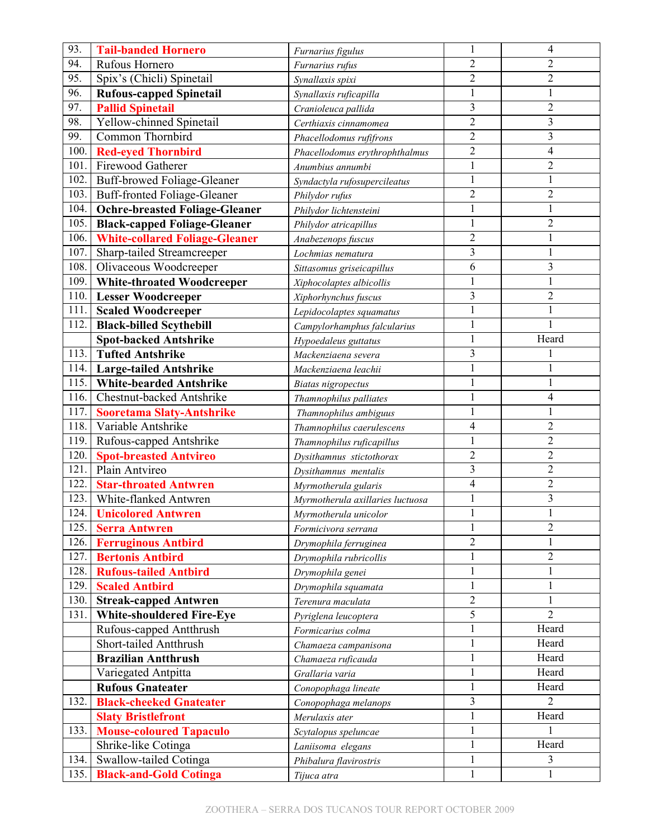| 93.  | <b>Tail-banded Hornero</b>            | Furnarius figulus                |                          | $\overline{4}$ |
|------|---------------------------------------|----------------------------------|--------------------------|----------------|
| 94.  | Rufous Hornero                        | Furnarius rufus                  | $\overline{2}$           | 2              |
| 95.  | Spix's (Chicli) Spinetail             | Synallaxis spixi                 | $\overline{2}$           | $\overline{2}$ |
| 96.  | <b>Rufous-capped Spinetail</b>        | Synallaxis ruficapilla           |                          |                |
| 97.  | <b>Pallid Spinetail</b>               | Cranioleuca pallida              | 3                        | $\overline{2}$ |
| 98.  | Yellow-chinned Spinetail              | Certhiaxis cinnamomea            | $\overline{2}$           | 3              |
| 99.  | Common Thornbird                      | Phacellodomus rufifrons          | $\overline{2}$           | 3              |
| 100. | <b>Red-eyed Thornbird</b>             | Phacellodomus erythrophthalmus   | $\overline{c}$           | 4              |
| 101. | Firewood Gatherer                     | Anumbius annumbi                 | 1                        | 2              |
| 102. | Buff-browed Foliage-Gleaner           | Syndactyla rufosupercileatus     | $\mathbf{1}$             | 1              |
| 103. | Buff-fronted Foliage-Gleaner          | Philydor rufus                   | $\overline{c}$           | $\overline{2}$ |
| 104. | <b>Ochre-breasted Foliage-Gleaner</b> | Philydor lichtensteini           |                          | 1              |
| 105. | <b>Black-capped Foliage-Gleaner</b>   | Philydor atricapillus            |                          | $\overline{2}$ |
| 106. | <b>White-collared Foliage-Gleaner</b> | Anabezenops fuscus               | $\overline{2}$           | 1              |
| 107. | Sharp-tailed Streamcreeper            | Lochmias nematura                | 3                        | $\mathbf{1}$   |
| 108. | Olivaceous Woodcreeper                | Sittasomus griseicapillus        | 6                        | 3              |
| 109. | <b>White-throated Woodcreeper</b>     | Xiphocolaptes albicollis         |                          | 1              |
| 110. | <b>Lesser Woodcreeper</b>             | Xiphorhynchus fuscus             | 3                        | $\overline{2}$ |
| 111. | <b>Scaled Woodcreeper</b>             | Lepidocolaptes squamatus         | 1                        | 1              |
| 112. | <b>Black-billed Scythebill</b>        | Campylorhamphus falcularius      | $\mathbf{1}$             | $\mathbf{1}$   |
|      | <b>Spot-backed Antshrike</b>          | Hypoedaleus guttatus             |                          | Heard          |
| 113. | <b>Tufted Antshrike</b>               | Mackenziaena severa              | 3                        |                |
| 114. | <b>Large-tailed Antshrike</b>         | Mackenziaena leachii             |                          | 1              |
| 115. | <b>White-bearded Antshrike</b>        | Biatas nigropectus               | $\mathbf{1}$             | $\mathbf{1}$   |
| 116. | Chestnut-backed Antshrike             | Thamnophilus palliates           |                          | 4              |
| 117. | <b>Sooretama Slaty-Antshrike</b>      | Thamnophilus ambiguus            | 1                        | 1              |
| 118. | Variable Antshrike                    | Thamnophilus caerulescens        | $\overline{4}$           | $\overline{2}$ |
| 119. | Rufous-capped Antshrike               | Thamnophilus ruficapillus        | 1                        | $\overline{2}$ |
| 120. | <b>Spot-breasted Antvireo</b>         | Dysithamnus stictothorax         | $\overline{c}$           | $\overline{2}$ |
| 121. | Plain Antvireo                        | Dysithamnus mentalis             | 3                        | $\overline{2}$ |
| 122. | <b>Star-throated Antwren</b>          | Myrmotherula gularis             | $\overline{\mathcal{L}}$ | $\overline{2}$ |
| 123. | White-flanked Antwren                 | Myrmotherula axillaries luctuosa | $\mathbf{1}$             | 3              |
| 124. | <b>Unicolored Antwren</b>             | Myrmotherula unicolor            |                          |                |
| 125. | <b>Serra Antwren</b>                  | Formicivora serrana              | 1                        | 2              |
| 126. | <b>Ferruginous Antbird</b>            | Drymophila ferruginea            | $\overline{2}$           |                |
| 127. | <b>Bertonis Antbird</b>               | Drymophila rubricollis           | 1                        | $\overline{2}$ |
| 128. | <b>Rufous-tailed Antbird</b>          | Drymophila genei                 | 1                        | 1              |
| 129. | <b>Scaled Antbird</b>                 | Drymophila squamata              | 1                        | 1              |
| 130. | <b>Streak-capped Antwren</b>          | Terenura maculata                | $\overline{2}$           | 1              |
| 131. | <b>White-shouldered Fire-Eye</b>      | Pyriglena leucoptera             | 5                        | $\overline{2}$ |
|      | Rufous-capped Antthrush               | Formicarius colma                | 1                        | Heard          |
|      | Short-tailed Antthrush                | Chamaeza campanisona             | 1                        | Heard          |
|      | <b>Brazilian Antthrush</b>            | Chamaeza ruficauda               | 1                        | Heard          |
|      | Variegated Antpitta                   | Grallaria varia                  | $\mathbf{1}$             | Heard          |
|      | <b>Rufous Gnateater</b>               | Conopophaga lineate              | $\mathbf{1}$             | Heard          |
| 132. | <b>Black-cheeked Gnateater</b>        | Conopophaga melanops             | 3                        | $\overline{2}$ |
|      | <b>Slaty Bristlefront</b>             | Merulaxis ater                   |                          | Heard          |
| 133. | <b>Mouse-coloured Tapaculo</b>        | Scytalopus speluncae             | $\mathbf{1}$             |                |
|      | Shrike-like Cotinga                   | Laniisoma elegans                | $\mathbf{1}$             | Heard          |
| 134. | Swallow-tailed Cotinga                | Phibalura flavirostris           | $\mathbf{1}$             | 3              |
| 135. | <b>Black-and-Gold Cotinga</b>         | Tijuca atra                      | 1                        | 1              |
|      |                                       |                                  |                          |                |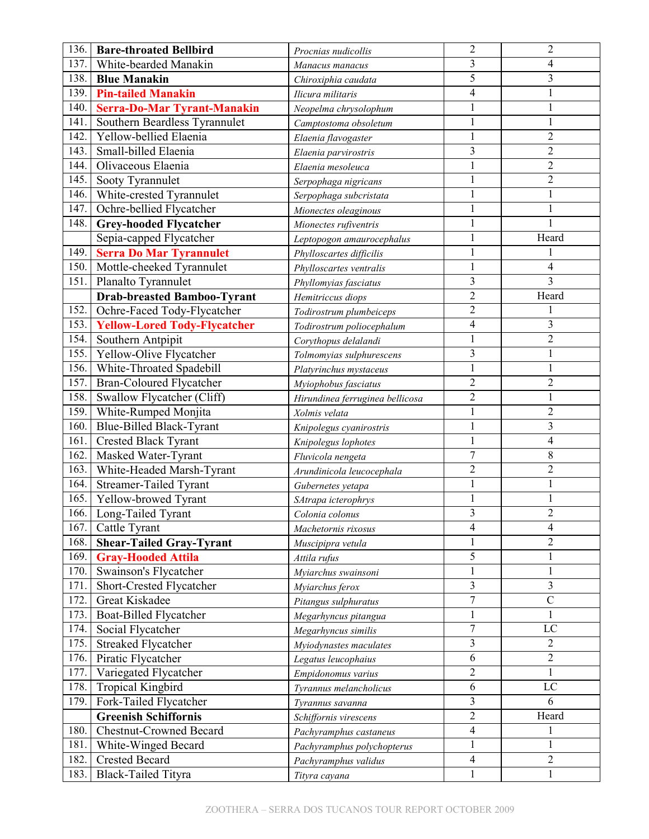| 136. | <b>Bare-throated Bellbird</b>                    | Procnias nudicollis                              | $\overline{2}$                           | $\overline{2}$ |
|------|--------------------------------------------------|--------------------------------------------------|------------------------------------------|----------------|
| 137. | White-bearded Manakin                            | Manacus manacus                                  | $\overline{\mathbf{3}}$                  | 4              |
| 138. | <b>Blue Manakin</b>                              | Chiroxiphia caudata                              | 5                                        | 3              |
| 139. | <b>Pin-tailed Manakin</b>                        | Ilicura militaris                                | $\overline{4}$                           | 1              |
| 140. | <b>Serra-Do-Mar Tyrant-Manakin</b>               | Neopelma chrysolophum                            | 1                                        | $\mathbf{1}$   |
| 141. | Southern Beardless Tyrannulet                    | Camptostoma obsoletum                            | $\mathbf{1}$                             | $\mathbf{1}$   |
| 142. | Yellow-bellied Elaenia                           | Elaenia flavogaster                              | $\mathbf{1}$                             | $\overline{2}$ |
| 143. | Small-billed Elaenia                             | Elaenia parvirostris                             | 3                                        | $\overline{2}$ |
| 144. | Olivaceous Elaenia                               | Elaenia mesoleuca                                | 1                                        | 2              |
| 145. | Sooty Tyrannulet                                 | Serpophaga nigricans                             | $\mathbf{1}$                             | $\overline{2}$ |
| 146. | White-crested Tyrannulet                         | Serpophaga subcristata                           | 1                                        |                |
| 147. | Ochre-bellied Flycatcher                         | Mionectes oleaginous                             |                                          | 1              |
| 148. | <b>Grey-hooded Flycatcher</b>                    | Mionectes rufiventris                            | 1                                        | 1              |
|      | Sepia-capped Flycatcher                          | Leptopogon amaurocephalus                        | $\mathbf{1}$                             | Heard          |
| 149. | <b>Serra Do Mar Tyrannulet</b>                   | Phylloscartes difficilis                         | 1                                        |                |
| 150. | Mottle-cheeked Tyrannulet                        | Phylloscartes ventralis                          | 1                                        | 4              |
| 151. | Planalto Tyrannulet                              | Phyllomyias fasciatus                            | $\overline{3}$                           | 3              |
|      | <b>Drab-breasted Bamboo-Tyrant</b>               | Hemitriccus diops                                | $\overline{2}$                           | Heard          |
| 152. | Ochre-Faced Tody-Flycatcher                      | Todirostrum plumbeiceps                          | $\overline{2}$                           |                |
| 153. | <b>Yellow-Lored Tody-Flycatcher</b>              | Todirostrum poliocephalum                        | $\overline{4}$                           | 3              |
| 154. | Southern Antpipit                                | Corythopus delalandi                             | 1                                        | $\overline{2}$ |
| 155. | Yellow-Olive Flycatcher                          | Tolmomyias sulphurescens                         | 3                                        | $\mathbf{1}$   |
| 156. | White-Throated Spadebill                         | Platyrinchus mystaceus                           | 1                                        | 1              |
| 157. | <b>Bran-Coloured Flycatcher</b>                  |                                                  | $\overline{2}$                           | $\overline{2}$ |
| 158. | Swallow Flycatcher (Cliff)                       | Myiophobus fasciatus                             | $\overline{2}$                           |                |
| 159. | White-Rumped Monjita                             | Hirundinea ferruginea bellicosa<br>Xolmis velata | 1                                        | $\overline{c}$ |
| 160. | <b>Blue-Billed Black-Tyrant</b>                  |                                                  | 1                                        | $\overline{3}$ |
| 161. | <b>Crested Black Tyrant</b>                      | Knipolegus cyanirostris                          | 1                                        | 4              |
| 162. | Masked Water-Tyrant                              | Knipolegus lophotes                              | $\overline{7}$                           | 8              |
| 163. | White-Headed Marsh-Tyrant                        | Fluvicola nengeta                                | $\overline{2}$                           | $\overline{2}$ |
| 164. | <b>Streamer-Tailed Tyrant</b>                    | Arundinicola leucocephala                        | $\mathbf{1}$                             | $\mathbf{1}$   |
| 165. | Yellow-browed Tyrant                             | Gubernetes yetapa                                | $\mathbf{1}$                             |                |
| 166. | Long-Tailed Tyrant                               | SAtrapa icterophrys                              | 3                                        | $\overline{2}$ |
| 167. |                                                  | Colonia colonus                                  | 4                                        | 4              |
| 168. | Cattle Tyrant<br><b>Shear-Tailed Gray-Tyrant</b> | Machetornis rixosus                              | 1                                        | $\overline{2}$ |
| 169. | <b>Gray-Hooded Attila</b>                        | Muscipipra vetula                                | 5                                        | 1              |
| 170. | Swainson's Flycatcher                            | Attila rufus                                     | 1                                        | $\mathbf{1}$   |
| 171. | Short-Crested Flycatcher                         | Myiarchus swainsoni                              | 3                                        | 3              |
| 172. | Great Kiskadee                                   | Myiarchus ferox                                  | $\overline{7}$                           | $\mathcal{C}$  |
| 173. | Boat-Billed Flycatcher                           | Pitangus sulphuratus                             | $\mathbf{1}$                             | 1              |
| 174. |                                                  | Megarhyncus pitangua                             | 7                                        | LC             |
| 175. | Social Flycatcher<br><b>Streaked Flycatcher</b>  | Megarhyncus similis                              | 3                                        | 2              |
| 176. |                                                  | Myiodynastes maculates                           | 6                                        | $\overline{c}$ |
| 177. | Piratic Flycatcher<br>Variegated Flycatcher      | Legatus leucophaius                              | $\overline{2}$                           | 1              |
| 178. |                                                  | Empidonomus varius                               | 6                                        | $_{\rm LC}$    |
| 179. | <b>Tropical Kingbird</b>                         | Tyrannus melancholicus                           | 3                                        | 6              |
|      | Fork-Tailed Flycatcher                           | Tyrannus savanna                                 | $\overline{2}$                           | Heard          |
|      | <b>Greenish Schiffornis</b>                      | Schiffornis virescens                            |                                          |                |
| 180. | <b>Chestnut-Crowned Becard</b>                   | Pachyramphus castaneus                           | $\overline{\mathcal{A}}$<br>$\mathbf{1}$ | 1<br>1         |
| 181. | White-Winged Becard                              | Pachyramphus polychopterus                       |                                          |                |
| 182. | <b>Crested Becard</b>                            | Pachyramphus validus                             | $\overline{4}$                           | $\overline{c}$ |
| 183. | Black-Tailed Tityra                              | Tityra cayana                                    |                                          | 1              |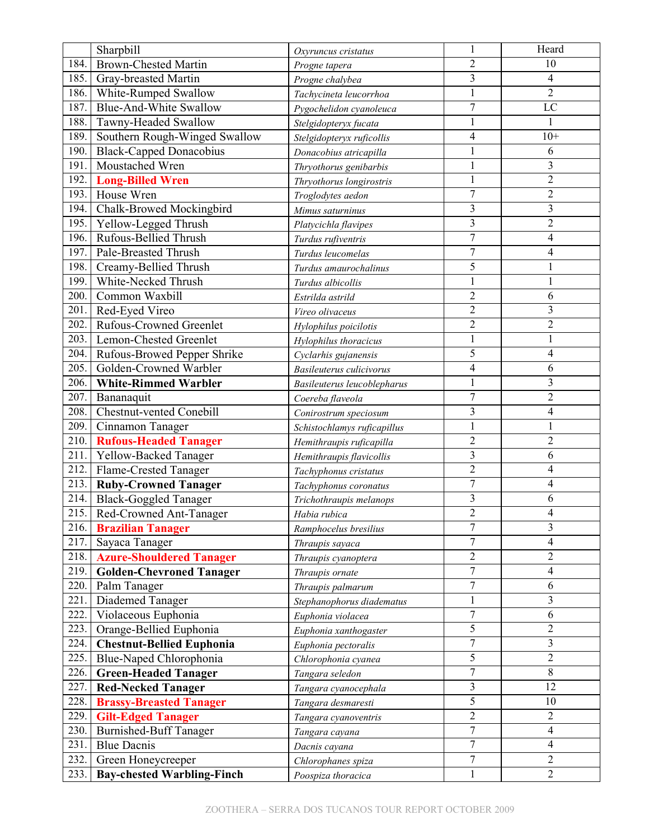|      | Sharpbill                         | Oxyruncus cristatus             |                | Heard                    |
|------|-----------------------------------|---------------------------------|----------------|--------------------------|
| 184. | <b>Brown-Chested Martin</b>       | Progne tapera                   | $\overline{2}$ | 10                       |
| 185. | Gray-breasted Martin              | Progne chalybea                 | $\overline{3}$ | 4                        |
| 186. | White-Rumped Swallow              | Tachycineta leucorrhoa          |                | $\overline{2}$           |
| 187. | <b>Blue-And-White Swallow</b>     | Pygochelidon cyanoleuca         | $\overline{7}$ | $\overline{LC}$          |
| 188. | Tawny-Headed Swallow              | Stelgidopteryx fucata           | $\mathbf{1}$   | $\mathbf{1}$             |
| 189. | Southern Rough-Winged Swallow     | Stelgidopteryx ruficollis       | 4              | $10+$                    |
| 190. | <b>Black-Capped Donacobius</b>    | Donacobius atricapilla          |                | 6                        |
| 191. | Moustached Wren                   | Thryothorus genibarbis          |                | 3                        |
| 192. | <b>Long-Billed Wren</b>           | Thryothorus longirostris        | $\mathbf{1}$   | $\overline{2}$           |
| 193. | House Wren                        | Troglodytes aedon               | 7              | $\overline{2}$           |
| 194. | Chalk-Browed Mockingbird          | Mimus saturninus                | 3              | $\overline{3}$           |
| 195. | Yellow-Legged Thrush              | Platycichla flavipes            | 3              | $\overline{2}$           |
| 196. | Rufous-Bellied Thrush             | Turdus rufiventris              | $\overline{7}$ | 4                        |
| 197. | Pale-Breasted Thrush              | Turdus leucomelas               | $\overline{7}$ | 4                        |
| 198. | Creamy-Bellied Thrush             | Turdus amaurochalinus           | 5              | 1                        |
| 199. | White-Necked Thrush               | Turdus albicollis               |                | 1                        |
| 200. | Common Waxbill                    | Estrilda astrild                | $\overline{2}$ | 6                        |
| 201. | Red-Eyed Vireo                    | Vireo olivaceus                 | $\sqrt{2}$     | 3                        |
| 202. | <b>Rufous-Crowned Greenlet</b>    | Hylophilus poicilotis           | $\overline{2}$ | $\overline{c}$           |
| 203. | Lemon-Chested Greenlet            | Hylophilus thoracicus           |                | 1                        |
| 204. | Rufous-Browed Pepper Shrike       | Cyclarhis gujanensis            | 5              | 4                        |
| 205. | Golden-Crowned Warbler            | <b>Basileuterus culicivorus</b> | 4              | 6                        |
| 206. | <b>White-Rimmed Warbler</b>       | Basileuterus leucoblepharus     | $\mathbf{1}$   | 3                        |
| 207. | Bananaquit                        | Coereba flaveola                | $\overline{7}$ | $\overline{c}$           |
| 208. | <b>Chestnut-vented Conebill</b>   | Conirostrum speciosum           | 3              | 4                        |
| 209. | Cinnamon Tanager                  | Schistochlamys ruficapillus     | $\mathbf{1}$   | $\mathbf{1}$             |
| 210. | <b>Rufous-Headed Tanager</b>      | Hemithraupis ruficapilla        | $\overline{2}$ | $\overline{2}$           |
| 211. | Yellow-Backed Tanager             | Hemithraupis flavicollis        | 3              | 6                        |
| 212. | Flame-Crested Tanager             | Tachyphonus cristatus           | $\overline{2}$ | 4                        |
| 213. | <b>Ruby-Crowned Tanager</b>       | Tachyphonus coronatus           | $\overline{7}$ | 4                        |
| 214. | <b>Black-Goggled Tanager</b>      | Trichothraupis melanops         | 3              | 6                        |
| 215. | Red-Crowned Ant-Tanager           | Habia rubica                    | $\overline{c}$ | 4                        |
| 216. | <b>Brazilian Tanager</b>          | Ramphocelus bresilius           | 7              | 3                        |
| 217. | Sayaca Tanager                    | Thraupis sayaca                 | $\overline{7}$ | 4                        |
| 218. | <b>Azure-Shouldered Tanager</b>   | Thraupis cyanoptera             | $\overline{2}$ | $\overline{c}$           |
| 219. | <b>Golden-Chevroned Tanager</b>   | Thraupis ornate                 | $\overline{7}$ | $\overline{\mathcal{A}}$ |
| 220. | Palm Tanager                      | Thraupis palmarum               | $\overline{7}$ | 6                        |
| 221. | Diademed Tanager                  | Stephanophorus diadematus       |                | 3                        |
| 222. | Violaceous Euphonia               | Euphonia violacea               | $\overline{7}$ | 6                        |
| 223. | Orange-Bellied Euphonia           | Euphonia xanthogaster           | 5              | $\overline{c}$           |
| 224. | <b>Chestnut-Bellied Euphonia</b>  | Euphonia pectoralis             | $\overline{7}$ | 3                        |
| 225. | Blue-Naped Chlorophonia           | Chlorophonia cyanea             | 5              | $\overline{2}$           |
| 226. | <b>Green-Headed Tanager</b>       | Tangara seledon                 | $\overline{7}$ | $\,8\,$                  |
| 227. | <b>Red-Necked Tanager</b>         | Tangara cyanocephala            | 3              | 12                       |
| 228. | <b>Brassy-Breasted Tanager</b>    | Tangara desmaresti              | 5              | 10                       |
| 229. | <b>Gilt-Edged Tanager</b>         | Tangara cyanoventris            | $\overline{2}$ | $\overline{c}$           |
| 230. | <b>Burnished-Buff Tanager</b>     | Tangara cayana                  | $\overline{7}$ | 4                        |
| 231. | <b>Blue Dacnis</b>                | Dacnis cayana                   | $\overline{7}$ | 4                        |
| 232. | Green Honeycreeper                | Chlorophanes spiza              | $\overline{7}$ | $\overline{c}$           |
| 233. | <b>Bay-chested Warbling-Finch</b> | Poospiza thoracica              | 1              | $\overline{2}$           |